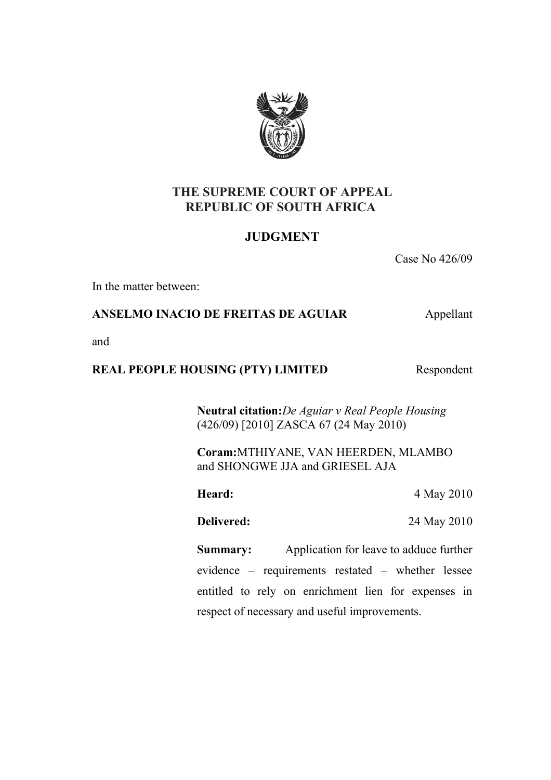

# **THE SUPREME COURT OF APPEAL REPUBLIC OF SOUTH AFRICA**

# **JUDGMENT**

Case No 426/09

In the matter between:

# **ANSELMO INACIO DE FREITAS DE AGUIAR** Appellant

and

# **REAL PEOPLE HOUSING (PTY) LIMITED** Respondent

**Neutral citation:***De Aguiar v Real People Housing* (426/09) [2010] ZASCA 67 (24 May 2010)

**Coram:**MTHIYANE, VAN HEERDEN, MLAMBO and SHONGWE JJA and GRIESEL AJA

**Heard:** 4 May 2010

**Delivered:** 24 May 2010

**Summary:** Application for leave to adduce further evidence – requirements restated – whether lessee entitled to rely on enrichment lien for expenses in respect of necessary and useful improvements.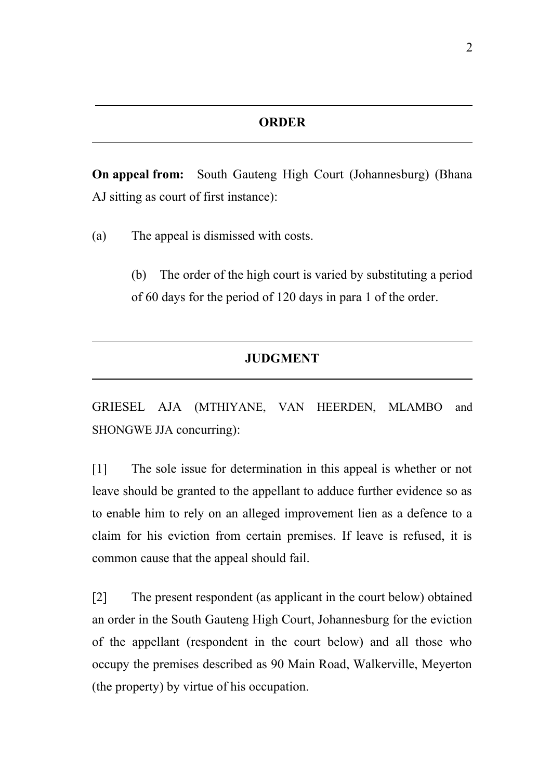**On appeal from:** South Gauteng High Court (Johannesburg) (Bhana AJ sitting as court of first instance):

(a) The appeal is dismissed with costs.

 $\overline{a}$ 

 $\overline{a}$ 

 $\overline{a}$ 

(b) The order of the high court is varied by substituting a period of 60 days for the period of 120 days in para 1 of the order.

# **JUDGMENT**

GRIESEL AJA (MTHIYANE, VAN HEERDEN, MLAMBO and SHONGWE JJA concurring):

[1] The sole issue for determination in this appeal is whether or not leave should be granted to the appellant to adduce further evidence so as to enable him to rely on an alleged improvement lien as a defence to a claim for his eviction from certain premises. If leave is refused, it is common cause that the appeal should fail.

[2] The present respondent (as applicant in the court below) obtained an order in the South Gauteng High Court, Johannesburg for the eviction of the appellant (respondent in the court below) and all those who occupy the premises described as 90 Main Road, Walkerville, Meyerton (the property) by virtue of his occupation.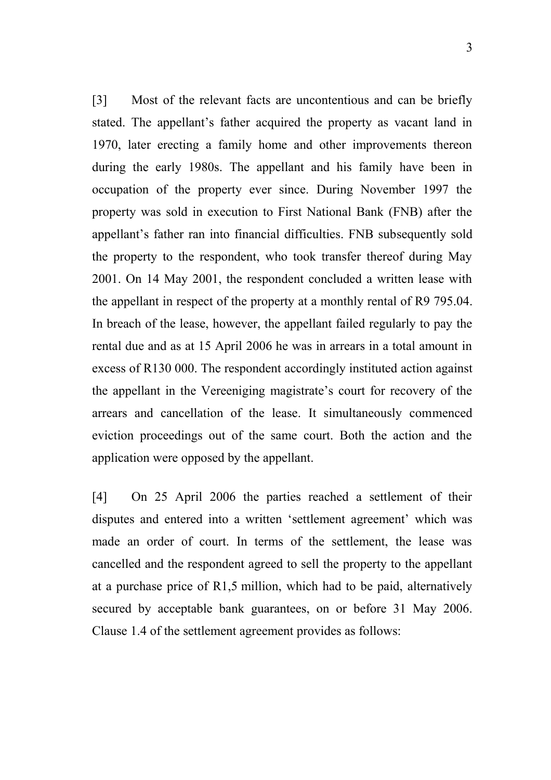[3] Most of the relevant facts are uncontentious and can be briefly stated. The appellant's father acquired the property as vacant land in 1970, later erecting a family home and other improvements thereon during the early 1980s. The appellant and his family have been in occupation of the property ever since. During November 1997 the property was sold in execution to First National Bank (FNB) after the appellant's father ran into financial difficulties. FNB subsequently sold the property to the respondent, who took transfer thereof during May 2001. On 14 May 2001, the respondent concluded a written lease with the appellant in respect of the property at a monthly rental of R9 795.04. In breach of the lease, however, the appellant failed regularly to pay the rental due and as at 15 April 2006 he was in arrears in a total amount in excess of R130 000. The respondent accordingly instituted action against the appellant in the Vereeniging magistrate's court for recovery of the arrears and cancellation of the lease. It simultaneously commenced eviction proceedings out of the same court. Both the action and the application were opposed by the appellant.

[4] On 25 April 2006 the parties reached a settlement of their disputes and entered into a written 'settlement agreement' which was made an order of court. In terms of the settlement, the lease was cancelled and the respondent agreed to sell the property to the appellant at a purchase price of R1,5 million, which had to be paid, alternatively secured by acceptable bank guarantees, on or before 31 May 2006. Clause 1.4 of the settlement agreement provides as follows: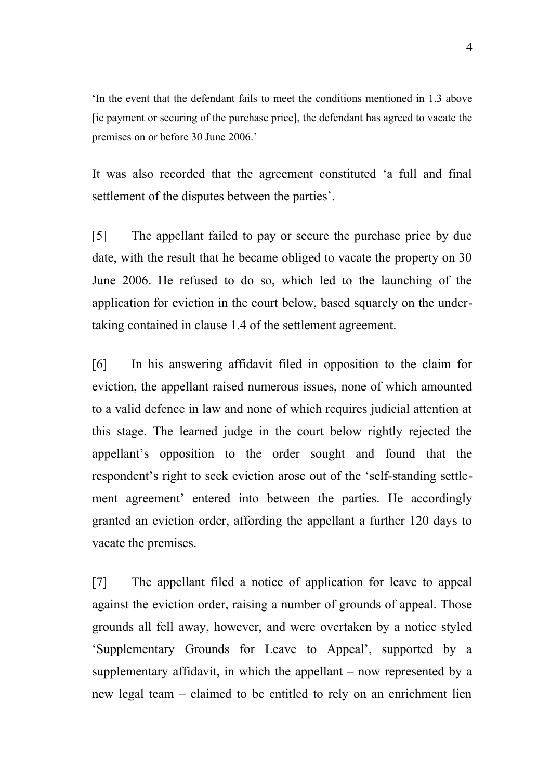'In the event that the defendant fails to meet the conditions mentioned in 1.3 above [ie payment or securing of the purchase price], the defendant has agreed to vacate the premises on or before 30 June 2006.'

It was also recorded that the agreement constituted 'a full and final settlement of the disputes between the parties'.

[5] The appellant failed to pay or secure the purchase price by due date, with the result that he became obliged to vacate the property on 30 June 2006. He refused to do so, which led to the launching of the application for eviction in the court below, based squarely on the undertaking contained in clause 1.4 of the settlement agreement.

[6] In his answering affidavit filed in opposition to the claim for eviction, the appellant raised numerous issues, none of which amounted to a valid defence in law and none of which requires judicial attention at this stage. The learned judge in the court below rightly rejected the appellant's opposition to the order sought and found that the respondent's right to seek eviction arose out of the 'self-standing settlement agreement' entered into between the parties. He accordingly granted an eviction order, affording the appellant a further 120 days to vacate the premises.

[7] The appellant filed a notice of application for leave to appeal against the eviction order, raising a number of grounds of appeal. Those grounds all fell away, however, and were overtaken by a notice styled 'Supplementary Grounds for Leave to Appeal', supported by a supplementary affidavit, in which the appellant – now represented by a new legal team – claimed to be entitled to rely on an enrichment lien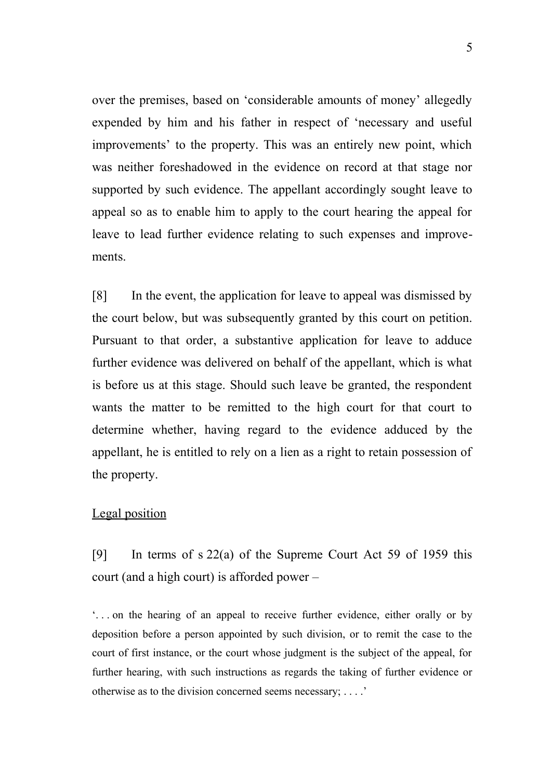over the premises, based on 'considerable amounts of money' allegedly expended by him and his father in respect of 'necessary and useful improvements' to the property. This was an entirely new point, which was neither foreshadowed in the evidence on record at that stage nor supported by such evidence. The appellant accordingly sought leave to appeal so as to enable him to apply to the court hearing the appeal for leave to lead further evidence relating to such expenses and improvements.

[8] In the event, the application for leave to appeal was dismissed by the court below, but was subsequently granted by this court on petition. Pursuant to that order, a substantive application for leave to adduce further evidence was delivered on behalf of the appellant, which is what is before us at this stage. Should such leave be granted, the respondent wants the matter to be remitted to the high court for that court to determine whether, having regard to the evidence adduced by the appellant, he is entitled to rely on a lien as a right to retain possession of the property.

## Legal position

[9] In terms of s 22(a) of the Supreme Court Act 59 of 1959 this court (and a high court) is afforded power –

'. . . on the hearing of an appeal to receive further evidence, either orally or by deposition before a person appointed by such division, or to remit the case to the court of first instance, or the court whose judgment is the subject of the appeal, for further hearing, with such instructions as regards the taking of further evidence or otherwise as to the division concerned seems necessary; . . . .'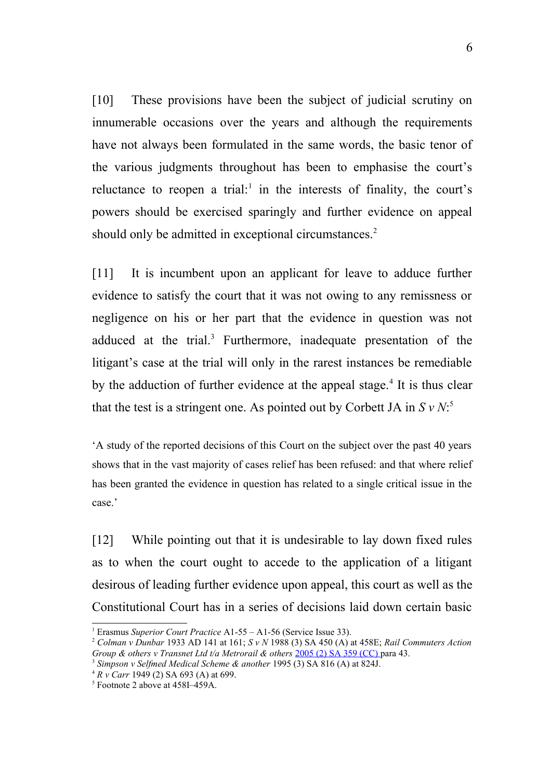[10] These provisions have been the subject of judicial scrutiny on innumerable occasions over the years and although the requirements have not always been formulated in the same words, the basic tenor of the various judgments throughout has been to emphasise the court's reluctance to reopen a trial:<sup>[1](#page-5-0)</sup> in the interests of finality, the court's powers should be exercised sparingly and further evidence on appeal should only be admitted in exceptional circumstances.<sup>[2](#page-5-1)</sup>

[11] It is incumbent upon an applicant for leave to adduce further evidence to satisfy the court that it was not owing to any remissness or negligence on his or her part that the evidence in question was not adduced at the trial.<sup>[3](#page-5-2)</sup> Furthermore, inadequate presentation of the litigant's case at the trial will only in the rarest instances be remediable by the adduction of further evidence at the appeal stage.<sup>[4](#page-5-3)</sup> It is thus clear that the test is a stringent one. As pointed out by Corbett JA in  $S v N$ <sup>[5](#page-5-4)</sup>

'A study of the reported decisions of this Court on the subject over the past 40 years shows that in the vast majority of cases relief has been refused: and that where relief has been granted the evidence in question has related to a single critical issue in the case.'

[12] While pointing out that it is undesirable to lay down fixed rules as to when the court ought to accede to the application of a litigant desirous of leading further evidence upon appeal, this court as well as the Constitutional Court has in a series of decisions laid down certain basic

<span id="page-5-0"></span><sup>1</sup> Erasmus *Superior Court Practice* A1-55 – A1-56 (Service Issue 33).

<span id="page-5-1"></span><sup>2</sup> *Colman v Dunbar* 1933 AD 141 at 161; *S v N* 1988 (3) SA 450 (A) at 458E; *Rail Commuters Action Group & others v Transnet Ltd t/a Metrorail & others* [2005 \(2\) SA 359 \(CC\) p](http://juta/nxt/foliolinks.asp?f=xhitlist&xhitlist_x=Advanced&xhitlist_vpc=first&xhitlist_xsl=querylink.xsl&xhitlist_sel=title;path;content-type;home-title&xhitlist_d=%7BSalr%7D&xhitlist_q=%5Bfield%20folio-destination-name:)ara 43.

<span id="page-5-2"></span><sup>3</sup> *Simpson v Selfmed Medical Scheme & another* 1995 (3) SA 816 (A) at 824J.

<span id="page-5-3"></span><sup>4</sup> *R v Carr* 1949 (2) SA 693 (A) at 699.

<span id="page-5-4"></span><sup>5</sup> Footnote 2 above at 458I–459A.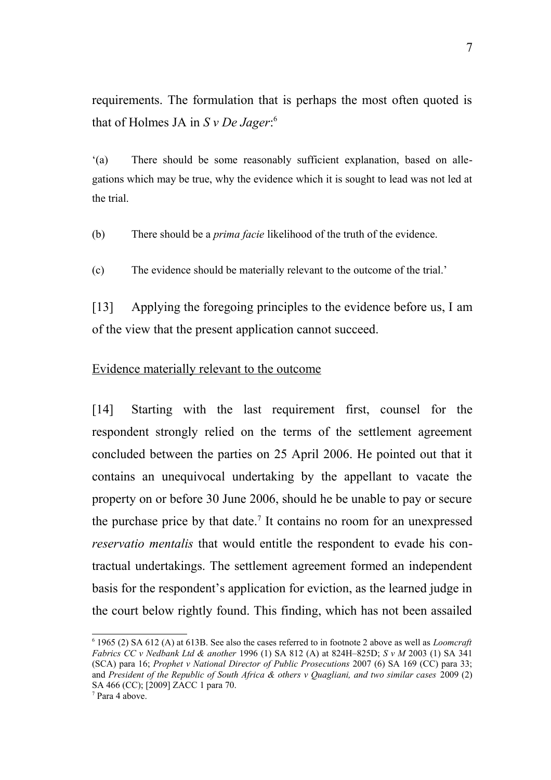requirements. The formulation that is perhaps the most often quoted is that of Holmes JA in *S v De Jager*: [6](#page-6-0)

'(a) There should be some reasonably sufficient explanation, based on allegations which may be true, why the evidence which it is sought to lead was not led at the trial.

(b) There should be a *prima facie* likelihood of the truth of the evidence.

(c) The evidence should be materially relevant to the outcome of the trial.'

[13] Applying the foregoing principles to the evidence before us, I am of the view that the present application cannot succeed.

#### Evidence materially relevant to the outcome

[14] Starting with the last requirement first, counsel for the respondent strongly relied on the terms of the settlement agreement concluded between the parties on 25 April 2006. He pointed out that it contains an unequivocal undertaking by the appellant to vacate the property on or before 30 June 2006, should he be unable to pay or secure the purchase price by that date.<sup>[7](#page-6-1)</sup> It contains no room for an unexpressed *reservatio mentalis* that would entitle the respondent to evade his contractual undertakings. The settlement agreement formed an independent basis for the respondent's application for eviction, as the learned judge in the court below rightly found. This finding, which has not been assailed

<span id="page-6-0"></span><sup>6</sup> 1965 (2) SA 612 (A) at 613B. See also the cases referred to in footnote 2 above as well as *Loomcraft Fabrics CC v Nedbank Ltd & another* 1996 (1) SA 812 (A) at 824H–825D; *S v M* 2003 (1) SA 341 (SCA) para 16; *Prophet v National Director of Public Prosecutions* 2007 (6) SA 169 (CC) para 33; and *President of the Republic of South Africa & others v Quagliani, and two similar cases* 2009 (2) SA 466 (CC); [2009] ZACC 1 para 70.

<span id="page-6-1"></span><sup>7</sup> Para 4 above.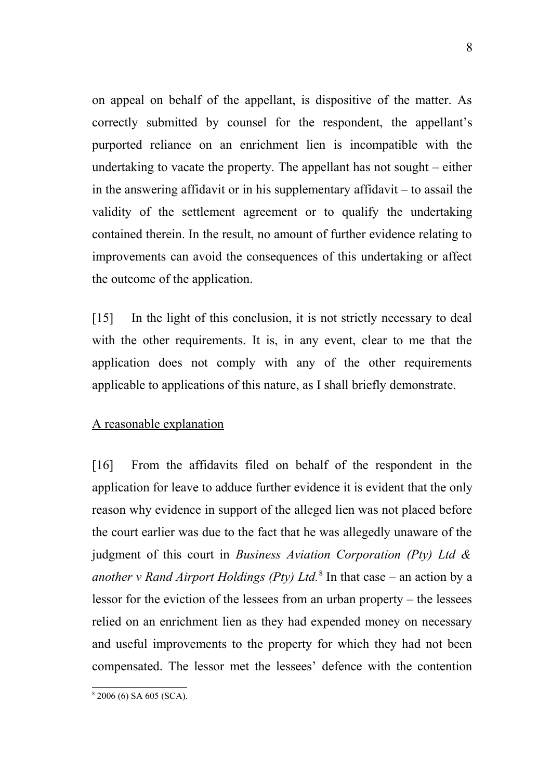on appeal on behalf of the appellant, is dispositive of the matter. As correctly submitted by counsel for the respondent, the appellant's purported reliance on an enrichment lien is incompatible with the undertaking to vacate the property. The appellant has not sought – either in the answering affidavit or in his supplementary affidavit – to assail the validity of the settlement agreement or to qualify the undertaking contained therein. In the result, no amount of further evidence relating to improvements can avoid the consequences of this undertaking or affect the outcome of the application.

[15] In the light of this conclusion, it is not strictly necessary to deal with the other requirements. It is, in any event, clear to me that the application does not comply with any of the other requirements applicable to applications of this nature, as I shall briefly demonstrate.

# A reasonable explanation

[16] From the affidavits filed on behalf of the respondent in the application for leave to adduce further evidence it is evident that the only reason why evidence in support of the alleged lien was not placed before the court earlier was due to the fact that he was allegedly unaware of the judgment of this court in *Business Aviation Corporation (Pty) Ltd & another v Rand Airport Holdings (Pty) Ltd.*[8](#page-7-0) In that case *–* an action by a lessor for the eviction of the lessees from an urban property – the lessees relied on an enrichment lien as they had expended money on necessary and useful improvements to the property for which they had not been compensated. The lessor met the lessees' defence with the contention

<span id="page-7-0"></span><sup>8</sup> 2006 (6) SA 605 (SCA).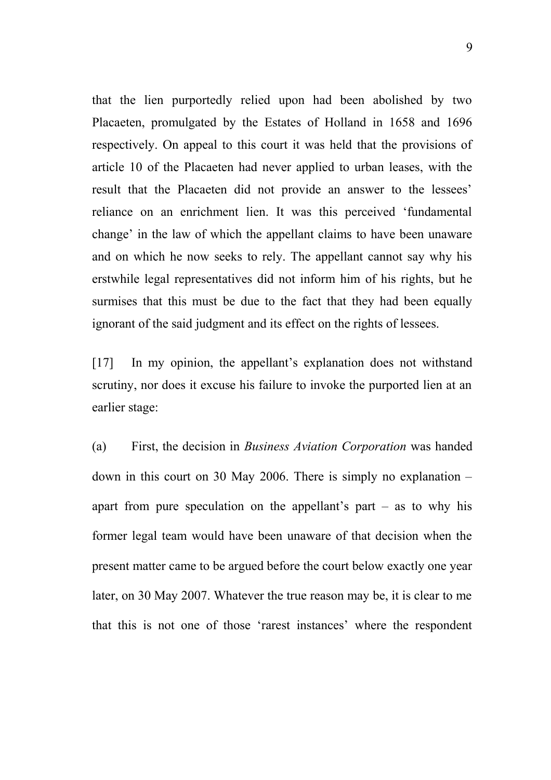that the lien purportedly relied upon had been abolished by two Placaeten, promulgated by the Estates of Holland in 1658 and 1696 respectively. On appeal to this court it was held that the provisions of article 10 of the Placaeten had never applied to urban leases, with the result that the Placaeten did not provide an answer to the lessees' reliance on an enrichment lien. It was this perceived 'fundamental change' in the law of which the appellant claims to have been unaware and on which he now seeks to rely. The appellant cannot say why his erstwhile legal representatives did not inform him of his rights, but he surmises that this must be due to the fact that they had been equally ignorant of the said judgment and its effect on the rights of lessees.

[17] In my opinion, the appellant's explanation does not withstand scrutiny, nor does it excuse his failure to invoke the purported lien at an earlier stage:

(a) First, the decision in *Business Aviation Corporation* was handed down in this court on 30 May 2006. There is simply no explanation – apart from pure speculation on the appellant's part  $-$  as to why his former legal team would have been unaware of that decision when the present matter came to be argued before the court below exactly one year later, on 30 May 2007. Whatever the true reason may be, it is clear to me that this is not one of those 'rarest instances' where the respondent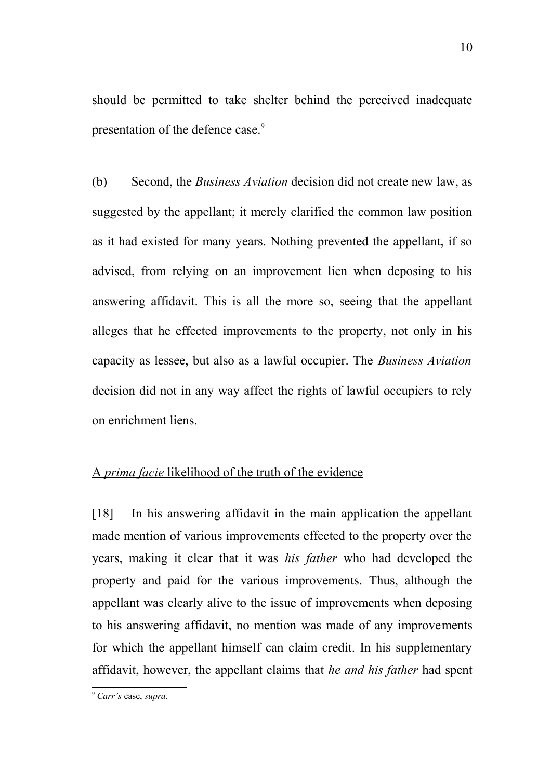should be permitted to take shelter behind the perceived inadequate presentation of the defence case.<sup>[9](#page-9-0)</sup>

(b) Second, the *Business Aviation* decision did not create new law, as suggested by the appellant; it merely clarified the common law position as it had existed for many years. Nothing prevented the appellant, if so advised, from relying on an improvement lien when deposing to his answering affidavit. This is all the more so, seeing that the appellant alleges that he effected improvements to the property, not only in his capacity as lessee, but also as a lawful occupier. The *Business Aviation* decision did not in any way affect the rights of lawful occupiers to rely on enrichment liens.

# A *prima facie* likelihood of the truth of the evidence

[18] In his answering affidavit in the main application the appellant made mention of various improvements effected to the property over the years, making it clear that it was *his father* who had developed the property and paid for the various improvements. Thus, although the appellant was clearly alive to the issue of improvements when deposing to his answering affidavit, no mention was made of any improvements for which the appellant himself can claim credit. In his supplementary affidavit, however, the appellant claims that *he and his father* had spent

<span id="page-9-0"></span><sup>9</sup> *Carr's* case, *supra*.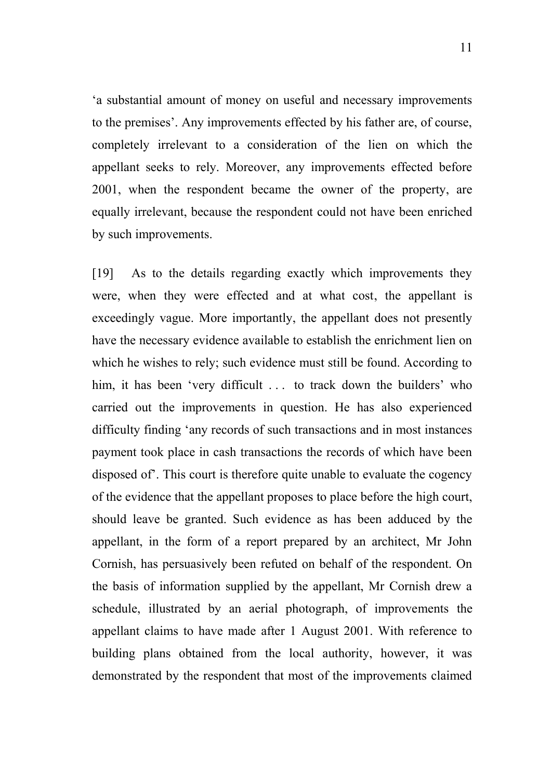'a substantial amount of money on useful and necessary improvements to the premises'. Any improvements effected by his father are, of course, completely irrelevant to a consideration of the lien on which the appellant seeks to rely. Moreover, any improvements effected before 2001, when the respondent became the owner of the property, are equally irrelevant, because the respondent could not have been enriched by such improvements.

[19] As to the details regarding exactly which improvements they were, when they were effected and at what cost, the appellant is exceedingly vague. More importantly, the appellant does not presently have the necessary evidence available to establish the enrichment lien on which he wishes to rely; such evidence must still be found. According to him, it has been 'very difficult ... to track down the builders' who carried out the improvements in question. He has also experienced difficulty finding 'any records of such transactions and in most instances payment took place in cash transactions the records of which have been disposed of'. This court is therefore quite unable to evaluate the cogency of the evidence that the appellant proposes to place before the high court, should leave be granted. Such evidence as has been adduced by the appellant, in the form of a report prepared by an architect, Mr John Cornish, has persuasively been refuted on behalf of the respondent. On the basis of information supplied by the appellant, Mr Cornish drew a schedule, illustrated by an aerial photograph, of improvements the appellant claims to have made after 1 August 2001. With reference to building plans obtained from the local authority, however, it was demonstrated by the respondent that most of the improvements claimed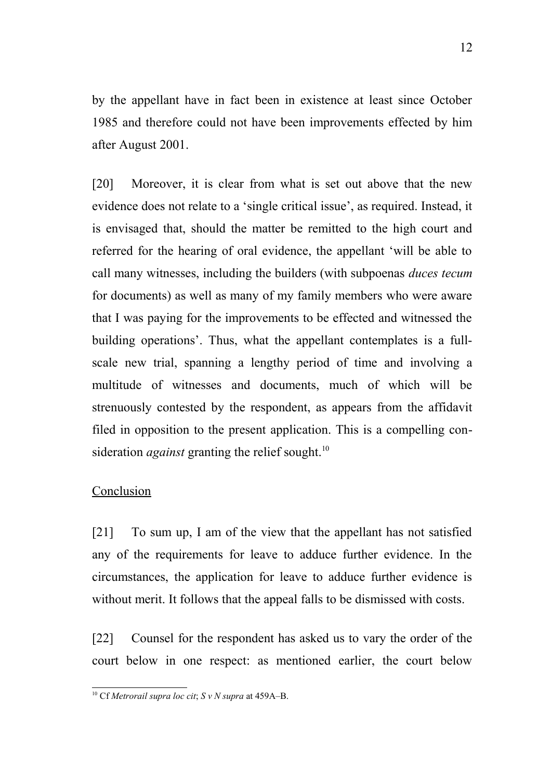by the appellant have in fact been in existence at least since October 1985 and therefore could not have been improvements effected by him after August 2001.

[20] Moreover, it is clear from what is set out above that the new evidence does not relate to a 'single critical issue', as required. Instead, it is envisaged that, should the matter be remitted to the high court and referred for the hearing of oral evidence, the appellant 'will be able to call many witnesses, including the builders (with subpoenas *duces tecum* for documents) as well as many of my family members who were aware that I was paying for the improvements to be effected and witnessed the building operations'. Thus, what the appellant contemplates is a fullscale new trial, spanning a lengthy period of time and involving a multitude of witnesses and documents, much of which will be strenuously contested by the respondent, as appears from the affidavit filed in opposition to the present application. This is a compelling consideration *against* granting the relief sought.<sup>[10](#page-11-0)</sup>

# Conclusion

[21] To sum up, I am of the view that the appellant has not satisfied any of the requirements for leave to adduce further evidence. In the circumstances, the application for leave to adduce further evidence is without merit. It follows that the appeal falls to be dismissed with costs.

[22] Counsel for the respondent has asked us to vary the order of the court below in one respect: as mentioned earlier, the court below

<span id="page-11-0"></span><sup>10</sup> Cf *Metrorail supra loc cit*; *S v N supra* at 459A–B.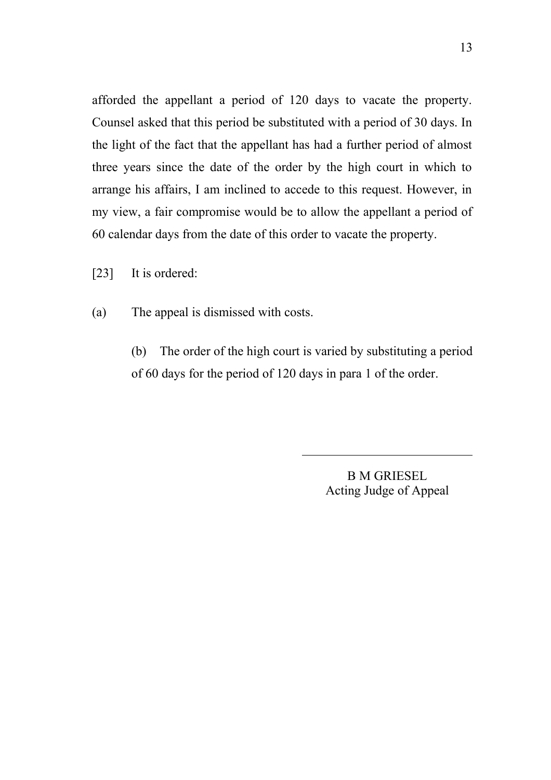afforded the appellant a period of 120 days to vacate the property. Counsel asked that this period be substituted with a period of 30 days. In the light of the fact that the appellant has had a further period of almost three years since the date of the order by the high court in which to arrange his affairs, I am inclined to accede to this request. However, in my view, a fair compromise would be to allow the appellant a period of 60 calendar days from the date of this order to vacate the property.

[23] It is ordered:

(a) The appeal is dismissed with costs.

(b) The order of the high court is varied by substituting a period of 60 days for the period of 120 days in para 1 of the order.

 $\overline{a}$ 

B M GRIESEL Acting Judge of Appeal